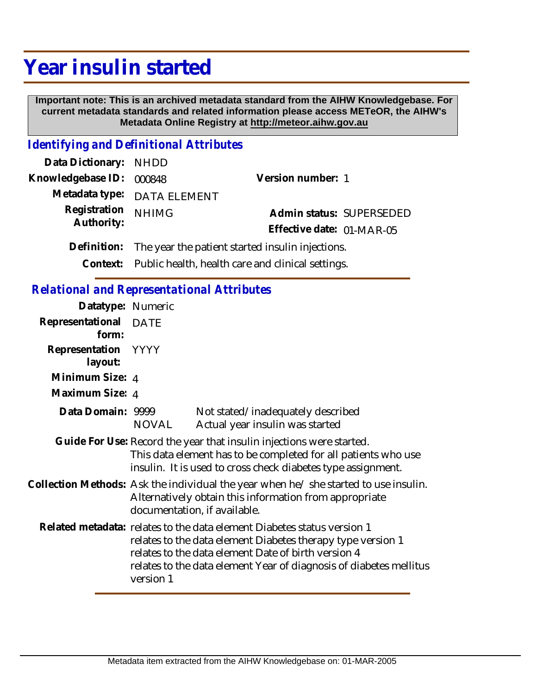# **Year insulin started**

 **Important note: This is an archived metadata standard from the AIHW Knowledgebase. For current metadata standards and related information please access METeOR, the AIHW's Metadata Online Registry at http://meteor.aihw.gov.au**

## *Identifying and Definitional Attributes*

| Data Dictionary: NHDD                                        |                                                         |  |
|--------------------------------------------------------------|---------------------------------------------------------|--|
|                                                              | Version number: 1                                       |  |
|                                                              |                                                         |  |
| <b>NHIMG</b>                                                 | Admin status: SUPERSEDED                                |  |
|                                                              | Effective date: 01-MAR-05                               |  |
| Definition: The year the patient started insulin injections. |                                                         |  |
|                                                              | Knowledgebase ID: 000848<br>Metadata type: DATA ELEMENT |  |

**Context:** Public health, health care and clinical settings.

#### *Relational and Representational Attributes*

| Datatype: Numeric              |                                                                                                                                                                               |                                                                                                                                                                                                                                                                     |
|--------------------------------|-------------------------------------------------------------------------------------------------------------------------------------------------------------------------------|---------------------------------------------------------------------------------------------------------------------------------------------------------------------------------------------------------------------------------------------------------------------|
| Representational DATE<br>form: |                                                                                                                                                                               |                                                                                                                                                                                                                                                                     |
| Representation YYYY<br>layout: |                                                                                                                                                                               |                                                                                                                                                                                                                                                                     |
| Minimum Size: 4                |                                                                                                                                                                               |                                                                                                                                                                                                                                                                     |
| Maximum Size: 4                |                                                                                                                                                                               |                                                                                                                                                                                                                                                                     |
| Data Domain: 9999              | NOVAL                                                                                                                                                                         | Not stated/inadequately described<br>Actual year insulin was started                                                                                                                                                                                                |
|                                |                                                                                                                                                                               | Guide For Use: Record the year that insulin injections were started.<br>This data element has to be completed for all patients who use<br>insulin. It is used to cross check diabetes type assignment.                                                              |
|                                | Collection Methods: Ask the individual the year when he/she started to use insulin.<br>Alternatively obtain this information from appropriate<br>documentation, if available. |                                                                                                                                                                                                                                                                     |
|                                | version 1                                                                                                                                                                     | Related metadata: relates to the data element Diabetes status version 1<br>relates to the data element Diabetes therapy type version 1<br>relates to the data element Date of birth version 4<br>relates to the data element Year of diagnosis of diabetes mellitus |